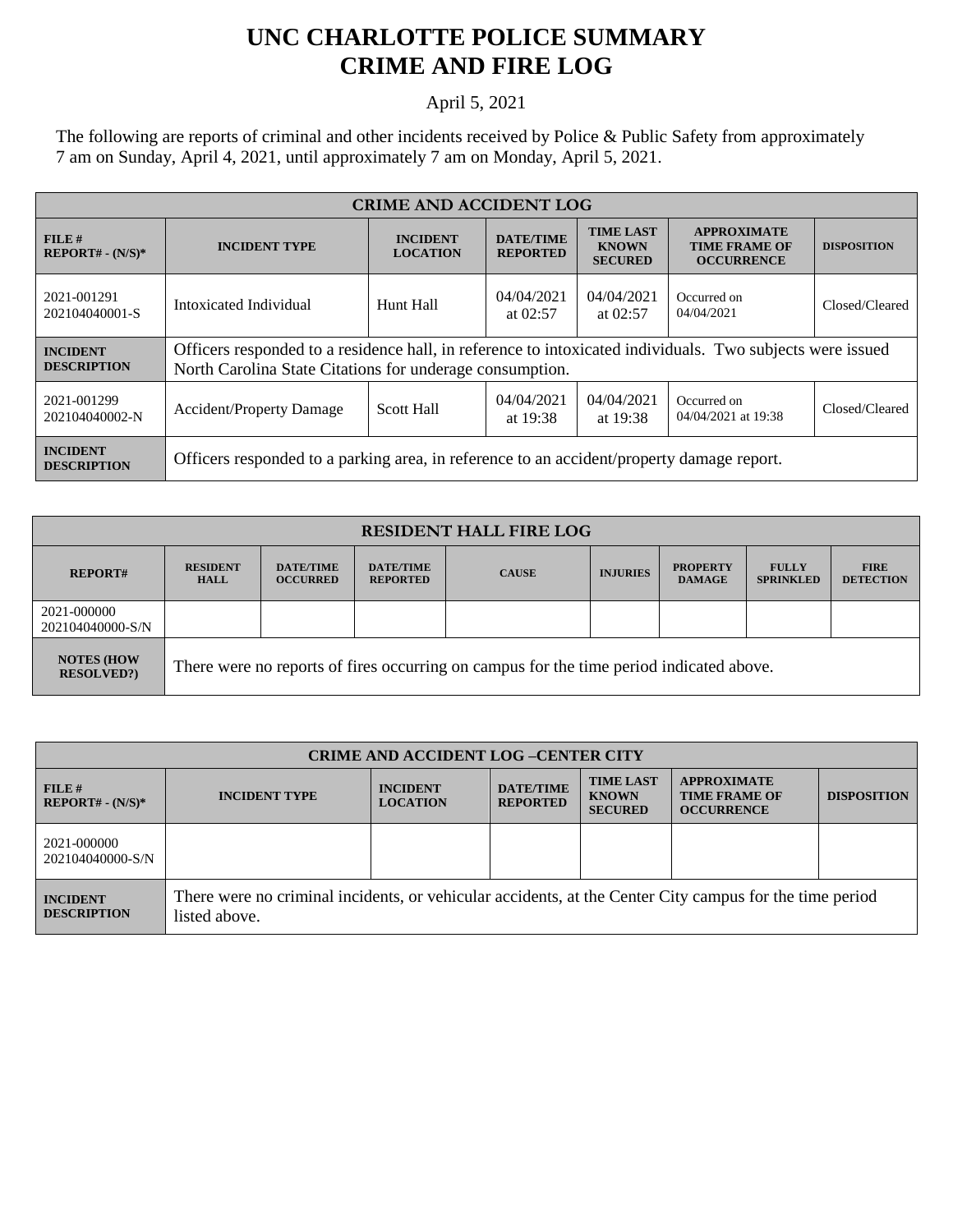## **UNC CHARLOTTE POLICE SUMMARY CRIME AND FIRE LOG**

## April 5, 2021

The following are reports of criminal and other incidents received by Police & Public Safety from approximately 7 am on Sunday, April 4, 2021, until approximately 7 am on Monday, April 5, 2021.

| <b>CRIME AND ACCIDENT LOG</b>         |                                                                                                                                                                       |                                    |                                     |                                                    |                                                                 |                    |  |
|---------------------------------------|-----------------------------------------------------------------------------------------------------------------------------------------------------------------------|------------------------------------|-------------------------------------|----------------------------------------------------|-----------------------------------------------------------------|--------------------|--|
| FILE#<br>$REPORT# - (N/S)*$           | <b>INCIDENT TYPE</b>                                                                                                                                                  | <b>INCIDENT</b><br><b>LOCATION</b> | <b>DATE/TIME</b><br><b>REPORTED</b> | <b>TIME LAST</b><br><b>KNOWN</b><br><b>SECURED</b> | <b>APPROXIMATE</b><br><b>TIME FRAME OF</b><br><b>OCCURRENCE</b> | <b>DISPOSITION</b> |  |
| 2021-001291<br>202104040001-S         | Intoxicated Individual                                                                                                                                                | Hunt Hall                          | 04/04/2021<br>at $02:57$            | 04/04/2021<br>at $02:57$                           | Occurred on<br>04/04/2021                                       | Closed/Cleared     |  |
| <b>INCIDENT</b><br><b>DESCRIPTION</b> | Officers responded to a residence hall, in reference to intoxicated individuals. Two subjects were issued<br>North Carolina State Citations for underage consumption. |                                    |                                     |                                                    |                                                                 |                    |  |
| 2021-001299<br>202104040002-N         | <b>Accident/Property Damage</b>                                                                                                                                       | <b>Scott Hall</b>                  | 04/04/2021<br>at 19:38              | 04/04/2021<br>at 19:38                             | Occurred on<br>04/04/2021 at 19:38                              | Closed/Cleared     |  |
| <b>INCIDENT</b><br><b>DESCRIPTION</b> | Officers responded to a parking area, in reference to an accident/property damage report.                                                                             |                                    |                                     |                                                    |                                                                 |                    |  |

| <b>RESIDENT HALL FIRE LOG</b>         |                                                                                         |                                     |                                     |              |                 |                                  |                                  |                                 |
|---------------------------------------|-----------------------------------------------------------------------------------------|-------------------------------------|-------------------------------------|--------------|-----------------|----------------------------------|----------------------------------|---------------------------------|
| <b>REPORT#</b>                        | <b>RESIDENT</b><br><b>HALL</b>                                                          | <b>DATE/TIME</b><br><b>OCCURRED</b> | <b>DATE/TIME</b><br><b>REPORTED</b> | <b>CAUSE</b> | <b>INJURIES</b> | <b>PROPERTY</b><br><b>DAMAGE</b> | <b>FULLY</b><br><b>SPRINKLED</b> | <b>FIRE</b><br><b>DETECTION</b> |
| 2021-000000<br>202104040000-S/N       |                                                                                         |                                     |                                     |              |                 |                                  |                                  |                                 |
| <b>NOTES (HOW</b><br><b>RESOLVED?</b> | There were no reports of fires occurring on campus for the time period indicated above. |                                     |                                     |              |                 |                                  |                                  |                                 |

| <b>CRIME AND ACCIDENT LOG-CENTER CITY</b> |                                                                                                                          |                                    |                                     |                                                    |                                                                 |                    |
|-------------------------------------------|--------------------------------------------------------------------------------------------------------------------------|------------------------------------|-------------------------------------|----------------------------------------------------|-----------------------------------------------------------------|--------------------|
| FILE#<br>$REPORT# - (N/S)*$               | <b>INCIDENT TYPE</b>                                                                                                     | <b>INCIDENT</b><br><b>LOCATION</b> | <b>DATE/TIME</b><br><b>REPORTED</b> | <b>TIME LAST</b><br><b>KNOWN</b><br><b>SECURED</b> | <b>APPROXIMATE</b><br><b>TIME FRAME OF</b><br><b>OCCURRENCE</b> | <b>DISPOSITION</b> |
| 2021-000000<br>202104040000-S/N           |                                                                                                                          |                                    |                                     |                                                    |                                                                 |                    |
| <b>INCIDENT</b><br><b>DESCRIPTION</b>     | There were no criminal incidents, or vehicular accidents, at the Center City campus for the time period<br>listed above. |                                    |                                     |                                                    |                                                                 |                    |